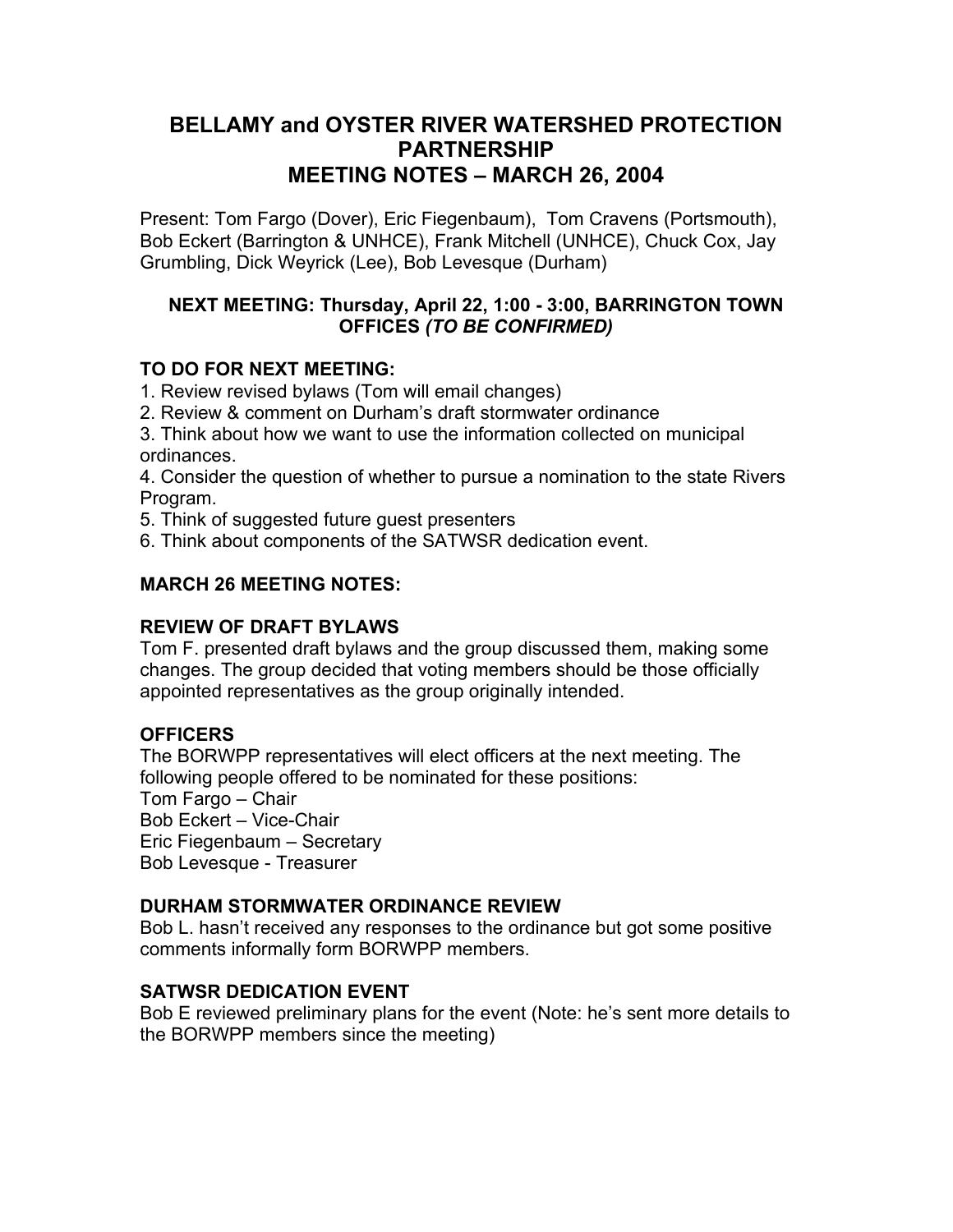# **BELLAMY and OYSTER RIVER WATERSHED PROTECTION PARTNERSHIP MEETING NOTES – MARCH 26, 2004**

Present: Tom Fargo (Dover), Eric Fiegenbaum), Tom Cravens (Portsmouth), Bob Eckert (Barrington & UNHCE), Frank Mitchell (UNHCE), Chuck Cox, Jay Grumbling, Dick Weyrick (Lee), Bob Levesque (Durham)

## **NEXT MEETING: Thursday, April 22, 1:00 - 3:00, BARRINGTON TOWN OFFICES** *(TO BE CONFIRMED)*

## **TO DO FOR NEXT MEETING:**

1. Review revised bylaws (Tom will email changes)

2. Review & comment on Durham's draft stormwater ordinance

3. Think about how we want to use the information collected on municipal ordinances.

4. Consider the question of whether to pursue a nomination to the state Rivers Program.

- 5. Think of suggested future guest presenters
- 6. Think about components of the SATWSR dedication event.

## **MARCH 26 MEETING NOTES:**

## **REVIEW OF DRAFT BYLAWS**

Tom F. presented draft bylaws and the group discussed them, making some changes. The group decided that voting members should be those officially appointed representatives as the group originally intended.

## **OFFICERS**

The BORWPP representatives will elect officers at the next meeting. The following people offered to be nominated for these positions: Tom Fargo – Chair Bob Eckert – Vice-Chair Eric Fiegenbaum – Secretary Bob Levesque - Treasurer

## **DURHAM STORMWATER ORDINANCE REVIEW**

Bob L. hasn't received any responses to the ordinance but got some positive comments informally form BORWPP members.

## **SATWSR DEDICATION EVENT**

Bob E reviewed preliminary plans for the event (Note: he's sent more details to the BORWPP members since the meeting)